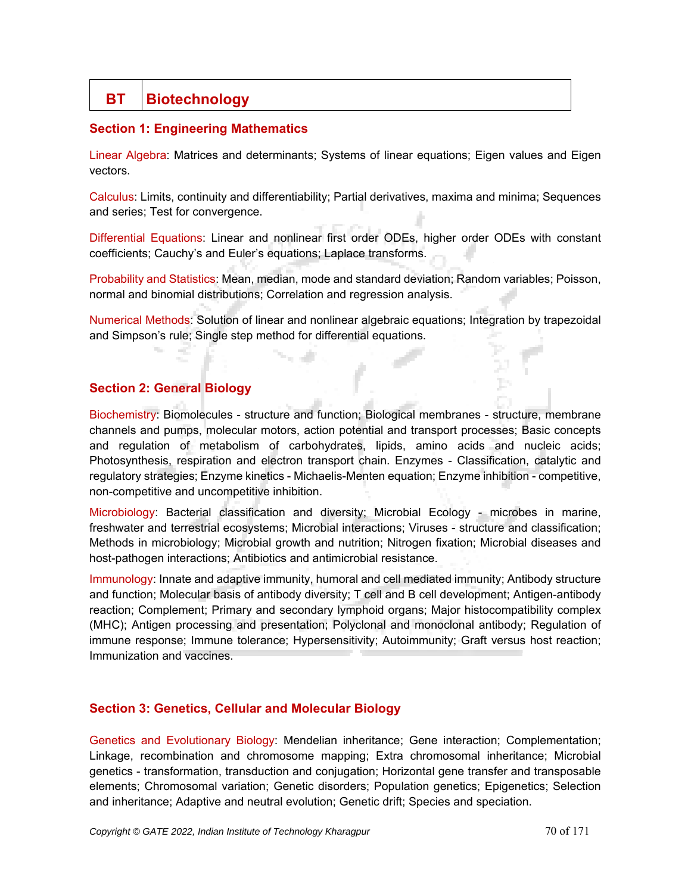## **BT** Biotechnology

## **Section 1: Engineering Mathematics**

Linear Algebra: Matrices and determinants; Systems of linear equations; Eigen values and Eigen vectors.

Calculus: Limits, continuity and differentiability; Partial derivatives, maxima and minima; Sequences and series; Test for convergence.

Differential Equations: Linear and nonlinear first order ODEs, higher order ODEs with constant coefficients; Cauchy's and Euler's equations; Laplace transforms.

Probability and Statistics: Mean, median, mode and standard deviation; Random variables; Poisson, normal and binomial distributions; Correlation and regression analysis.

Numerical Methods: Solution of linear and nonlinear algebraic equations; Integration by trapezoidal and Simpson's rule; Single step method for differential equations.

## **Section 2: General Biology**

Biochemistry: Biomolecules - structure and function; Biological membranes - structure, membrane channels and pumps, molecular motors, action potential and transport processes; Basic concepts and regulation of metabolism of carbohydrates, lipids, amino acids and nucleic acids; Photosynthesis, respiration and electron transport chain. Enzymes - Classification, catalytic and regulatory strategies; Enzyme kinetics - Michaelis-Menten equation; Enzyme inhibition - competitive, non-competitive and uncompetitive inhibition.

Microbiology: Bacterial classification and diversity; Microbial Ecology - microbes in marine, freshwater and terrestrial ecosystems; Microbial interactions; Viruses - structure and classification; Methods in microbiology; Microbial growth and nutrition; Nitrogen fixation; Microbial diseases and host-pathogen interactions; Antibiotics and antimicrobial resistance.

Immunology: Innate and adaptive immunity, humoral and cell mediated immunity; Antibody structure and function; Molecular basis of antibody diversity; T cell and B cell development; Antigen-antibody reaction; Complement; Primary and secondary lymphoid organs; Major histocompatibility complex (MHC); Antigen processing and presentation; Polyclonal and monoclonal antibody; Regulation of immune response; Immune tolerance; Hypersensitivity; Autoimmunity; Graft versus host reaction; Immunization and vaccines.

## **Section 3: Genetics, Cellular and Molecular Biology**

Genetics and Evolutionary Biology: Mendelian inheritance; Gene interaction; Complementation; Linkage, recombination and chromosome mapping; Extra chromosomal inheritance; Microbial genetics - transformation, transduction and conjugation; Horizontal gene transfer and transposable elements; Chromosomal variation; Genetic disorders; Population genetics; Epigenetics; Selection and inheritance; Adaptive and neutral evolution; Genetic drift; Species and speciation.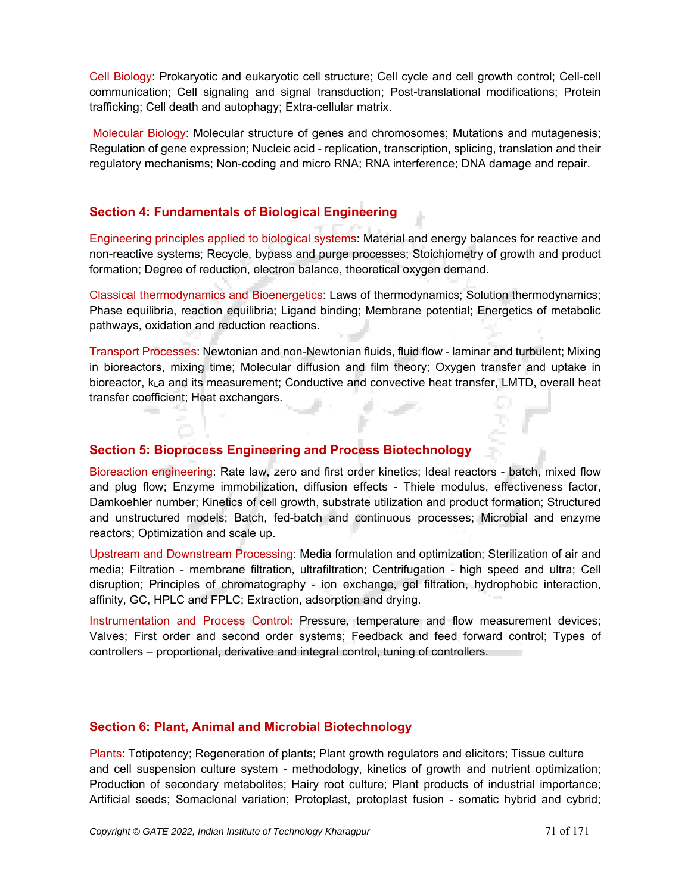Cell Biology: Prokaryotic and eukaryotic cell structure; Cell cycle and cell growth control; Cell-cell communication; Cell signaling and signal transduction; Post-translational modifications; Protein trafficking; Cell death and autophagy; Extra-cellular matrix.

Molecular Biology: Molecular structure of genes and chromosomes; Mutations and mutagenesis; Regulation of gene expression; Nucleic acid - replication, transcription, splicing, translation and their regulatory mechanisms; Non-coding and micro RNA; RNA interference; DNA damage and repair.

## **Section 4: Fundamentals of Biological Engineering**

Engineering principles applied to biological systems: Material and energy balances for reactive and non-reactive systems; Recycle, bypass and purge processes; Stoichiometry of growth and product formation; Degree of reduction, electron balance, theoretical oxygen demand.

Classical thermodynamics and Bioenergetics: Laws of thermodynamics; Solution thermodynamics; Phase equilibria, reaction equilibria; Ligand binding; Membrane potential; Energetics of metabolic pathways, oxidation and reduction reactions.

Transport Processes: Newtonian and non-Newtonian fluids, fluid flow - laminar and turbulent; Mixing in bioreactors, mixing time; Molecular diffusion and film theory; Oxygen transfer and uptake in bioreactor, kLa and its measurement; Conductive and convective heat transfer, LMTD, overall heat transfer coefficient; Heat exchangers.

## **Section 5: Bioprocess Engineering and Process Biotechnology**

Bioreaction engineering: Rate law, zero and first order kinetics; Ideal reactors - batch, mixed flow and plug flow; Enzyme immobilization, diffusion effects - Thiele modulus, effectiveness factor, Damkoehler number; Kinetics of cell growth, substrate utilization and product formation; Structured and unstructured models; Batch, fed-batch and continuous processes; Microbial and enzyme reactors; Optimization and scale up.

Upstream and Downstream Processing: Media formulation and optimization; Sterilization of air and media; Filtration - membrane filtration, ultrafiltration; Centrifugation - high speed and ultra; Cell disruption; Principles of chromatography - ion exchange, gel filtration, hydrophobic interaction, affinity, GC, HPLC and FPLC; Extraction, adsorption and drying.

Instrumentation and Process Control: Pressure, temperature and flow measurement devices; Valves; First order and second order systems; Feedback and feed forward control; Types of controllers – proportional, derivative and integral control, tuning of controllers.

#### **Section 6: Plant, Animal and Microbial Biotechnology**

Plants: Totipotency; Regeneration of plants; Plant growth regulators and elicitors; Tissue culture and cell suspension culture system - methodology, kinetics of growth and nutrient optimization; Production of secondary metabolites; Hairy root culture; Plant products of industrial importance; Artificial seeds; Somaclonal variation; Protoplast, protoplast fusion - somatic hybrid and cybrid;